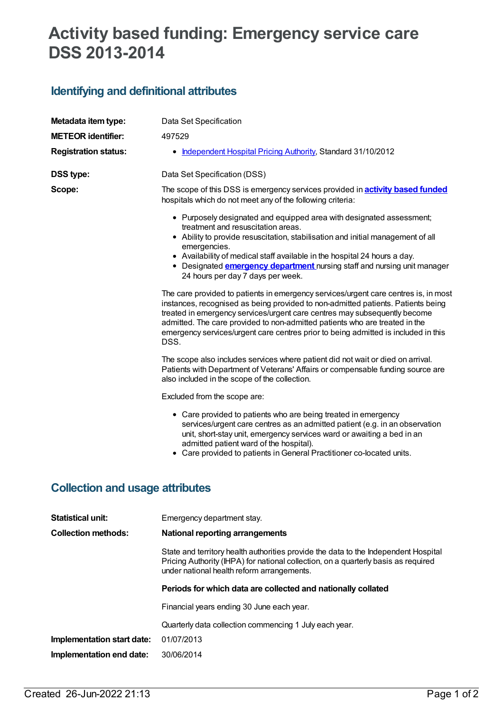# **Activity based funding: Emergency service care DSS 2013-2014**

## **Identifying and definitional attributes**

| Metadata item type:                    | Data Set Specification                                                                                                                                                                                                                                                                                                                                                                                                                                                                                    |  |  |  |
|----------------------------------------|-----------------------------------------------------------------------------------------------------------------------------------------------------------------------------------------------------------------------------------------------------------------------------------------------------------------------------------------------------------------------------------------------------------------------------------------------------------------------------------------------------------|--|--|--|
| <b>METEOR</b> identifier:              | 497529                                                                                                                                                                                                                                                                                                                                                                                                                                                                                                    |  |  |  |
| <b>Registration status:</b>            | • Independent Hospital Pricing Authority, Standard 31/10/2012                                                                                                                                                                                                                                                                                                                                                                                                                                             |  |  |  |
| <b>DSS type:</b>                       | Data Set Specification (DSS)                                                                                                                                                                                                                                                                                                                                                                                                                                                                              |  |  |  |
| Scope:                                 | The scope of this DSS is emergency services provided in <b>activity based funded</b><br>hospitals which do not meet any of the following criteria:                                                                                                                                                                                                                                                                                                                                                        |  |  |  |
|                                        | • Purposely designated and equipped area with designated assessment;<br>treatment and resuscitation areas.<br>• Ability to provide resuscitation, stabilisation and initial management of all<br>emergencies.<br>• Availability of medical staff available in the hospital 24 hours a day.<br>• Designated <b>emergency department</b> nursing staff and nursing unit manager<br>24 hours per day 7 days per week.<br>The care provided to patients in emergency services/urgent care centres is, in most |  |  |  |
|                                        | instances, recognised as being provided to non-admitted patients. Patients being<br>treated in emergency services/urgent care centres may subsequently become<br>admitted. The care provided to non-admitted patients who are treated in the<br>emergency services/urgent care centres prior to being admitted is included in this<br>DSS.                                                                                                                                                                |  |  |  |
|                                        | The scope also includes services where patient did not wait or died on arrival.<br>Patients with Department of Veterans' Affairs or compensable funding source are<br>also included in the scope of the collection.                                                                                                                                                                                                                                                                                       |  |  |  |
|                                        | Excluded from the scope are:                                                                                                                                                                                                                                                                                                                                                                                                                                                                              |  |  |  |
|                                        | • Care provided to patients who are being treated in emergency<br>services/urgent care centres as an admitted patient (e.g. in an observation<br>unit, short-stay unit, emergency services ward or awaiting a bed in an<br>admitted patient ward of the hospital).<br>• Care provided to patients in General Practitioner co-located units.                                                                                                                                                               |  |  |  |
| <b>Collection and usage attributes</b> |                                                                                                                                                                                                                                                                                                                                                                                                                                                                                                           |  |  |  |

| <b>Statistical unit:</b>                                     | Emergency department stay.                                                                                                                                                                                              |  |  |
|--------------------------------------------------------------|-------------------------------------------------------------------------------------------------------------------------------------------------------------------------------------------------------------------------|--|--|
| <b>Collection methods:</b>                                   | National reporting arrangements                                                                                                                                                                                         |  |  |
|                                                              | State and territory health authorities provide the data to the Independent Hospital<br>Pricing Authority (IHPA) for national collection, on a quarterly basis as required<br>under national health reform arrangements. |  |  |
| Periods for which data are collected and nationally collated |                                                                                                                                                                                                                         |  |  |
|                                                              | Financial years ending 30 June each year.                                                                                                                                                                               |  |  |
|                                                              | Quarterly data collection commencing 1 July each year.                                                                                                                                                                  |  |  |
| Implementation start date:                                   | 01/07/2013                                                                                                                                                                                                              |  |  |
| Implementation end date:                                     | 30/06/2014                                                                                                                                                                                                              |  |  |